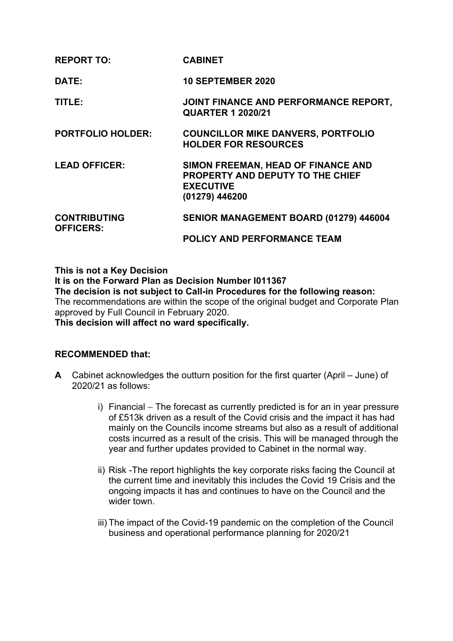| <b>CABINET</b>                                                                                               |
|--------------------------------------------------------------------------------------------------------------|
| <b>10 SEPTEMBER 2020</b>                                                                                     |
| JOINT FINANCE AND PERFORMANCE REPORT,<br><b>QUARTER 1 2020/21</b>                                            |
| <b>COUNCILLOR MIKE DANVERS, PORTFOLIO</b><br><b>HOLDER FOR RESOURCES</b>                                     |
| SIMON FREEMAN, HEAD OF FINANCE AND<br>PROPERTY AND DEPUTY TO THE CHIEF<br><b>EXECUTIVE</b><br>(01279) 446200 |
| SENIOR MANAGEMENT BOARD (01279) 446004                                                                       |
| POLICY AND PERFORMANCE TEAM                                                                                  |
|                                                                                                              |

**This is not a Key Decision It is on the Forward Plan as Decision Number I011367 The decision is not subject to Call-in Procedures for the following reason:** The recommendations are within the scope of the original budget and Corporate Plan approved by Full Council in February 2020. **This decision will affect no ward specifically.**

## **RECOMMENDED that:**

- **A** Cabinet acknowledges the outturn position for the first quarter (April June) of 2020/21 as follows:
	- i) Financial The forecast as currently predicted is for an in year pressure of £513k driven as a result of the Covid crisis and the impact it has had mainly on the Councils income streams but also as a result of additional costs incurred as a result of the crisis. This will be managed through the year and further updates provided to Cabinet in the normal way.
	- ii) Risk -The report highlights the key corporate risks facing the Council at the current time and inevitably this includes the Covid 19 Crisis and the ongoing impacts it has and continues to have on the Council and the wider town.
	- iii) The impact of the Covid-19 pandemic on the completion of the Council business and operational performance planning for 2020/21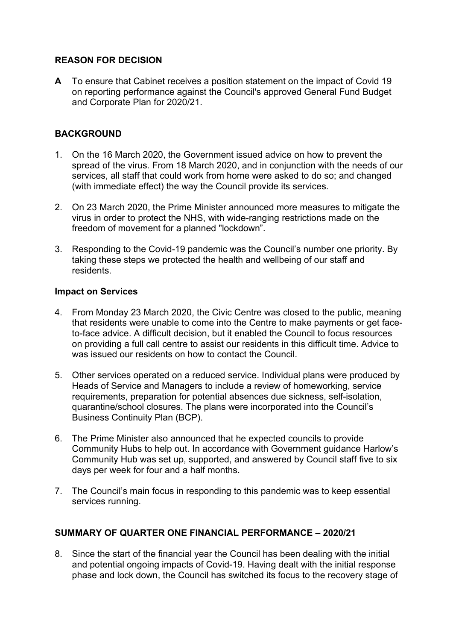# **REASON FOR DECISION**

**A** To ensure that Cabinet receives a position statement on the impact of Covid 19 on reporting performance against the Council's approved General Fund Budget and Corporate Plan for 2020/21.

## **BACKGROUND**

- 1. On the 16 March 2020, the Government issued advice on how to prevent the spread of the virus. From 18 March 2020, and in conjunction with the needs of our services, all staff that could work from home were asked to do so; and changed (with immediate effect) the way the Council provide its services.
- 2. On 23 March 2020, the Prime Minister announced more measures to mitigate the virus in order to protect the NHS, with wide-ranging restrictions made on the freedom of movement for a planned "lockdown".
- 3. Responding to the Covid-19 pandemic was the Council's number one priority. By taking these steps we protected the health and wellbeing of our staff and residents.

#### **Impact on Services**

- 4. From Monday 23 March 2020, the Civic Centre was closed to the public, meaning that residents were unable to come into the Centre to make payments or get faceto-face advice. A difficult decision, but it enabled the Council to focus resources on providing a full call centre to assist our residents in this difficult time. Advice to was issued our residents on how to contact the Council.
- 5. Other services operated on a reduced service. Individual plans were produced by Heads of Service and Managers to include a review of homeworking, service requirements, preparation for potential absences due sickness, self-isolation, quarantine/school closures. The plans were incorporated into the Council's Business Continuity Plan (BCP).
- 6. The Prime Minister also announced that he expected councils to provide Community Hubs to help out. In accordance with Government guidance Harlow's Community Hub was set up, supported, and answered by Council staff five to six days per week for four and a half months.
- 7. The Council's main focus in responding to this pandemic was to keep essential services running.

#### **SUMMARY OF QUARTER ONE FINANCIAL PERFORMANCE – 2020/21**

8. Since the start of the financial year the Council has been dealing with the initial and potential ongoing impacts of Covid-19. Having dealt with the initial response phase and lock down, the Council has switched its focus to the recovery stage of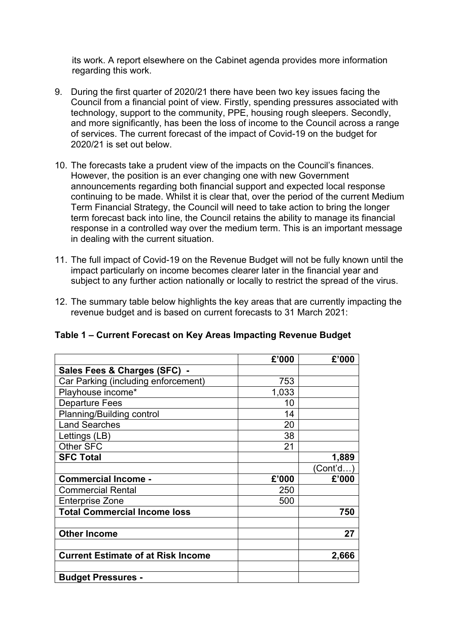its work. A report elsewhere on the Cabinet agenda provides more information regarding this work.

- 9. During the first quarter of 2020/21 there have been two key issues facing the Council from a financial point of view. Firstly, spending pressures associated with technology, support to the community, PPE, housing rough sleepers. Secondly, and more significantly, has been the loss of income to the Council across a range of services. The current forecast of the impact of Covid-19 on the budget for 2020/21 is set out below.
- 10. The forecasts take a prudent view of the impacts on the Council's finances. However, the position is an ever changing one with new Government announcements regarding both financial support and expected local response continuing to be made. Whilst it is clear that, over the period of the current Medium Term Financial Strategy, the Council will need to take action to bring the longer term forecast back into line, the Council retains the ability to manage its financial response in a controlled way over the medium term. This is an important message in dealing with the current situation.
- 11. The full impact of Covid-19 on the Revenue Budget will not be fully known until the impact particularly on income becomes clearer later in the financial year and subject to any further action nationally or locally to restrict the spread of the virus.
- 12. The summary table below highlights the key areas that are currently impacting the revenue budget and is based on current forecasts to 31 March 2021:

| Table 1 – Current Forecast on Key Areas Impacting Revenue Budget |  |
|------------------------------------------------------------------|--|
|                                                                  |  |

|                                           | £'000 | £'000    |
|-------------------------------------------|-------|----------|
| Sales Fees & Charges (SFC) -              |       |          |
| Car Parking (including enforcement)       | 753   |          |
| Playhouse income*                         | 1,033 |          |
| <b>Departure Fees</b>                     | 10    |          |
| Planning/Building control                 | 14    |          |
| <b>Land Searches</b>                      | 20    |          |
| Lettings (LB)                             | 38    |          |
| Other SFC                                 | 21    |          |
| <b>SFC Total</b>                          |       | 1,889    |
|                                           |       | (Cont'd) |
| <b>Commercial Income -</b>                | £'000 | £'000    |
| <b>Commercial Rental</b>                  | 250   |          |
| <b>Enterprise Zone</b>                    | 500   |          |
| <b>Total Commercial Income loss</b>       |       | 750      |
|                                           |       |          |
| <b>Other Income</b>                       |       | 27       |
|                                           |       |          |
| <b>Current Estimate of at Risk Income</b> |       | 2,666    |
|                                           |       |          |
| <b>Budget Pressures -</b>                 |       |          |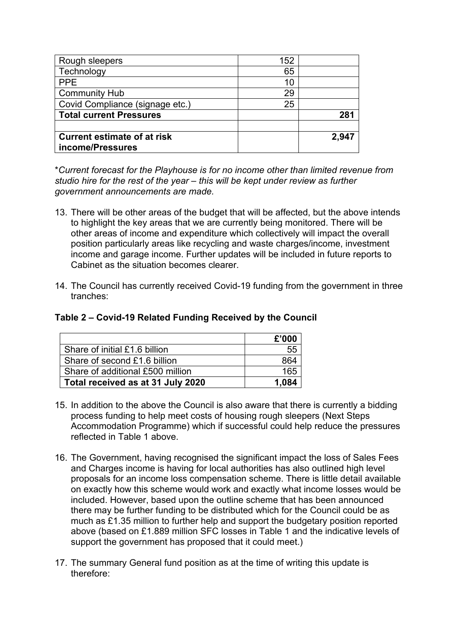| Rough sleepers                                         | 152 |       |
|--------------------------------------------------------|-----|-------|
| Technology                                             | 65  |       |
| <b>PPE</b>                                             | 10  |       |
| <b>Community Hub</b>                                   | 29  |       |
| Covid Compliance (signage etc.)                        | 25  |       |
| <b>Total current Pressures</b>                         |     | 281   |
| <b>Current estimate of at risk</b><br>income/Pressures |     | 2,947 |

\**Current forecast for the Playhouse is for no income other than limited revenue from studio hire for the rest of the year – this will be kept under review as further government announcements are made.*

- 13. There will be other areas of the budget that will be affected, but the above intends to highlight the key areas that we are currently being monitored. There will be other areas of income and expenditure which collectively will impact the overall position particularly areas like recycling and waste charges/income, investment income and garage income. Further updates will be included in future reports to Cabinet as the situation becomes clearer.
- 14. The Council has currently received Covid-19 funding from the government in three tranches:

#### **Table 2 – Covid-19 Related Funding Received by the Council**

|                                   | £'000 |
|-----------------------------------|-------|
| Share of initial £1.6 billion     | 55    |
| Share of second £1.6 billion      | 864   |
| Share of additional £500 million  | 165   |
| Total received as at 31 July 2020 | 1,084 |

- 15. In addition to the above the Council is also aware that there is currently a bidding process funding to help meet costs of housing rough sleepers (Next Steps Accommodation Programme) which if successful could help reduce the pressures reflected in Table 1 above.
- 16. The Government, having recognised the significant impact the loss of Sales Fees and Charges income is having for local authorities has also outlined high level proposals for an income loss compensation scheme. There is little detail available on exactly how this scheme would work and exactly what income losses would be included. However, based upon the outline scheme that has been announced there may be further funding to be distributed which for the Council could be as much as £1.35 million to further help and support the budgetary position reported above (based on £1.889 million SFC losses in Table 1 and the indicative levels of support the government has proposed that it could meet.)
- 17. The summary General fund position as at the time of writing this update is therefore: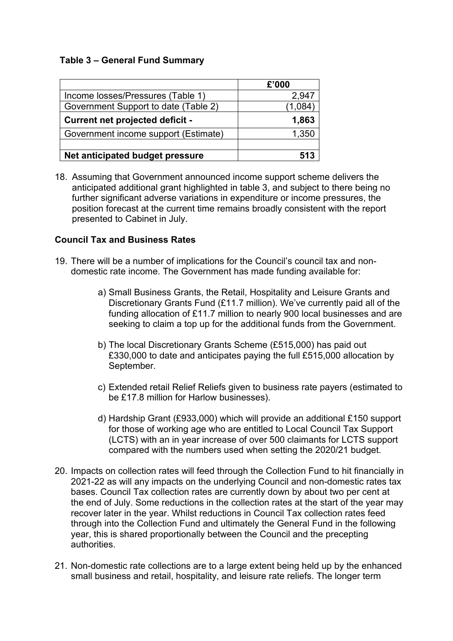# **Table 3 – General Fund Summary**

|                                        | £'000   |
|----------------------------------------|---------|
| Income losses/Pressures (Table 1)      | 2,947   |
| Government Support to date (Table 2)   | (1,084) |
| <b>Current net projected deficit -</b> | 1,863   |
| Government income support (Estimate)   | 1,350   |
|                                        |         |
| Net anticipated budget pressure        | 513     |

18. Assuming that Government announced income support scheme delivers the anticipated additional grant highlighted in table 3, and subject to there being no further significant adverse variations in expenditure or income pressures, the position forecast at the current time remains broadly consistent with the report presented to Cabinet in July.

## **Council Tax and Business Rates**

- 19. There will be a number of implications for the Council's council tax and nondomestic rate income. The Government has made funding available for:
	- a) Small Business Grants, the Retail, Hospitality and Leisure Grants and Discretionary Grants Fund (£11.7 million). We've currently paid all of the funding allocation of £11.7 million to nearly 900 local businesses and are seeking to claim a top up for the additional funds from the Government.
	- b) The local Discretionary Grants Scheme (£515,000) has paid out £330,000 to date and anticipates paying the full £515,000 allocation by September.
	- c) Extended retail Relief Reliefs given to business rate payers (estimated to be £17.8 million for Harlow businesses).
	- d) Hardship Grant (£933,000) which will provide an additional £150 support for those of working age who are entitled to Local Council Tax Support (LCTS) with an in year increase of over 500 claimants for LCTS support compared with the numbers used when setting the 2020/21 budget.
- 20. Impacts on collection rates will feed through the Collection Fund to hit financially in 2021-22 as will any impacts on the underlying Council and non-domestic rates tax bases. Council Tax collection rates are currently down by about two per cent at the end of July. Some reductions in the collection rates at the start of the year may recover later in the year. Whilst reductions in Council Tax collection rates feed through into the Collection Fund and ultimately the General Fund in the following year, this is shared proportionally between the Council and the precepting authorities.
- 21. Non-domestic rate collections are to a large extent being held up by the enhanced small business and retail, hospitality, and leisure rate reliefs. The longer term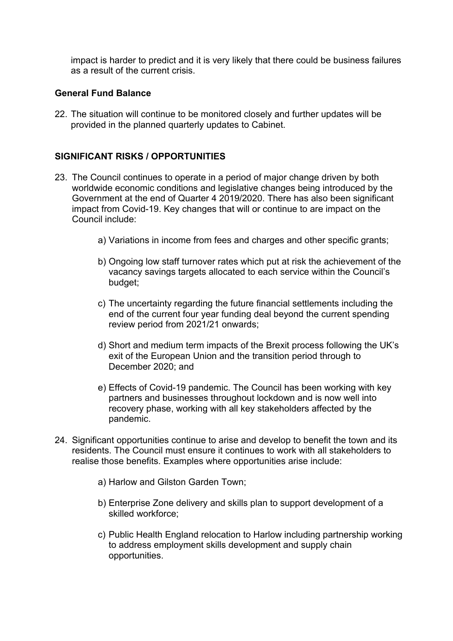impact is harder to predict and it is very likely that there could be business failures as a result of the current crisis.

## **General Fund Balance**

22. The situation will continue to be monitored closely and further updates will be provided in the planned quarterly updates to Cabinet.

# **SIGNIFICANT RISKS / OPPORTUNITIES**

- 23. The Council continues to operate in a period of major change driven by both worldwide economic conditions and legislative changes being introduced by the Government at the end of Quarter 4 2019/2020. There has also been significant impact from Covid-19. Key changes that will or continue to are impact on the Council include:
	- a) Variations in income from fees and charges and other specific grants;
	- b) Ongoing low staff turnover rates which put at risk the achievement of the vacancy savings targets allocated to each service within the Council's budget;
	- c) The uncertainty regarding the future financial settlements including the end of the current four year funding deal beyond the current spending review period from 2021/21 onwards;
	- d) Short and medium term impacts of the Brexit process following the UK's exit of the European Union and the transition period through to December 2020; and
	- e) Effects of Covid-19 pandemic. The Council has been working with key partners and businesses throughout lockdown and is now well into recovery phase, working with all key stakeholders affected by the pandemic.
- 24. Significant opportunities continue to arise and develop to benefit the town and its residents. The Council must ensure it continues to work with all stakeholders to realise those benefits. Examples where opportunities arise include:
	- a) Harlow and Gilston Garden Town;
	- b) Enterprise Zone delivery and skills plan to support development of a skilled workforce;
	- c) Public Health England relocation to Harlow including partnership working to address employment skills development and supply chain opportunities.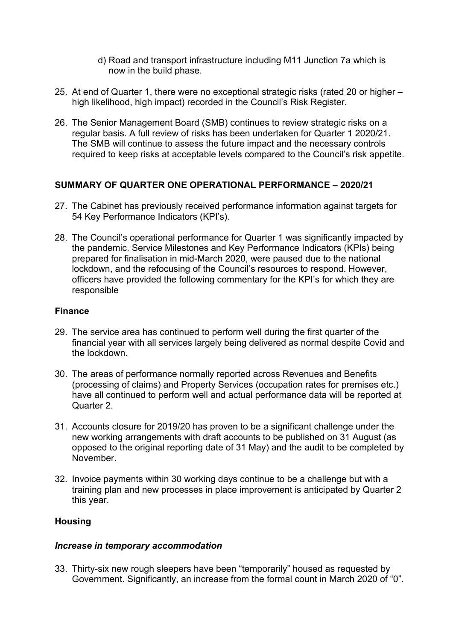- d) Road and transport infrastructure including M11 Junction 7a which is now in the build phase.
- 25. At end of Quarter 1, there were no exceptional strategic risks (rated 20 or higher high likelihood, high impact) recorded in the Council's Risk Register.
- 26. The Senior Management Board (SMB) continues to review strategic risks on a regular basis. A full review of risks has been undertaken for Quarter 1 2020/21. The SMB will continue to assess the future impact and the necessary controls required to keep risks at acceptable levels compared to the Council's risk appetite.

## **SUMMARY OF QUARTER ONE OPERATIONAL PERFORMANCE – 2020/21**

- 27. The Cabinet has previously received performance information against targets for 54 Key Performance Indicators (KPI's).
- 28. The Council's operational performance for Quarter 1 was significantly impacted by the pandemic. Service Milestones and Key Performance Indicators (KPIs) being prepared for finalisation in mid-March 2020, were paused due to the national lockdown, and the refocusing of the Council's resources to respond. However, officers have provided the following commentary for the KPI's for which they are responsible

#### **Finance**

- 29. The service area has continued to perform well during the first quarter of the financial year with all services largely being delivered as normal despite Covid and the lockdown.
- 30. The areas of performance normally reported across Revenues and Benefits (processing of claims) and Property Services (occupation rates for premises etc.) have all continued to perform well and actual performance data will be reported at Quarter 2.
- 31. Accounts closure for 2019/20 has proven to be a significant challenge under the new working arrangements with draft accounts to be published on 31 August (as opposed to the original reporting date of 31 May) and the audit to be completed by November.
- 32. Invoice payments within 30 working days continue to be a challenge but with a training plan and new processes in place improvement is anticipated by Quarter 2 this year.

#### **Housing**

#### *Increase in temporary accommodation*

33. Thirty-six new rough sleepers have been "temporarily" housed as requested by Government. Significantly, an increase from the formal count in March 2020 of "0".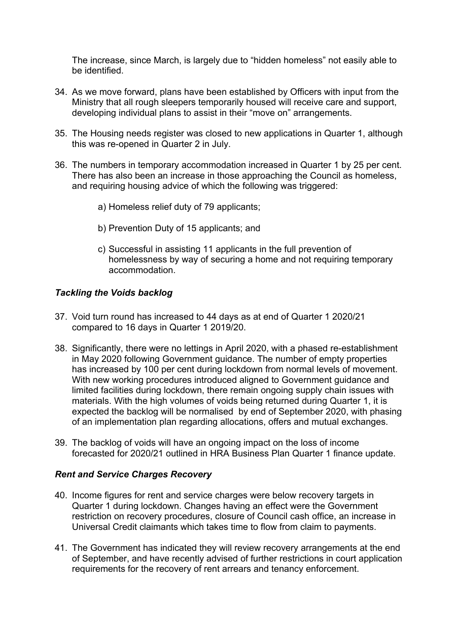The increase, since March, is largely due to "hidden homeless" not easily able to be identified.

- 34. As we move forward, plans have been established by Officers with input from the Ministry that all rough sleepers temporarily housed will receive care and support, developing individual plans to assist in their "move on" arrangements.
- 35. The Housing needs register was closed to new applications in Quarter 1, although this was re-opened in Quarter 2 in July.
- 36. The numbers in temporary accommodation increased in Quarter 1 by 25 per cent. There has also been an increase in those approaching the Council as homeless, and requiring housing advice of which the following was triggered:
	- a) Homeless relief duty of 79 applicants;
	- b) Prevention Duty of 15 applicants; and
	- c) Successful in assisting 11 applicants in the full prevention of homelessness by way of securing a home and not requiring temporary accommodation.

#### *Tackling the Voids backlog*

- 37. Void turn round has increased to 44 days as at end of Quarter 1 2020/21 compared to 16 days in Quarter 1 2019/20.
- 38. Significantly, there were no lettings in April 2020, with a phased re-establishment in May 2020 following Government guidance. The number of empty properties has increased by 100 per cent during lockdown from normal levels of movement. With new working procedures introduced aligned to Government guidance and limited facilities during lockdown, there remain ongoing supply chain issues with materials. With the high volumes of voids being returned during Quarter 1, it is expected the backlog will be normalised by end of September 2020, with phasing of an implementation plan regarding allocations, offers and mutual exchanges.
- 39. The backlog of voids will have an ongoing impact on the loss of income forecasted for 2020/21 outlined in HRA Business Plan Quarter 1 finance update.

#### *Rent and Service Charges Recovery*

- 40. Income figures for rent and service charges were below recovery targets in Quarter 1 during lockdown. Changes having an effect were the Government restriction on recovery procedures, closure of Council cash office, an increase in Universal Credit claimants which takes time to flow from claim to payments.
- 41. The Government has indicated they will review recovery arrangements at the end of September, and have recently advised of further restrictions in court application requirements for the recovery of rent arrears and tenancy enforcement.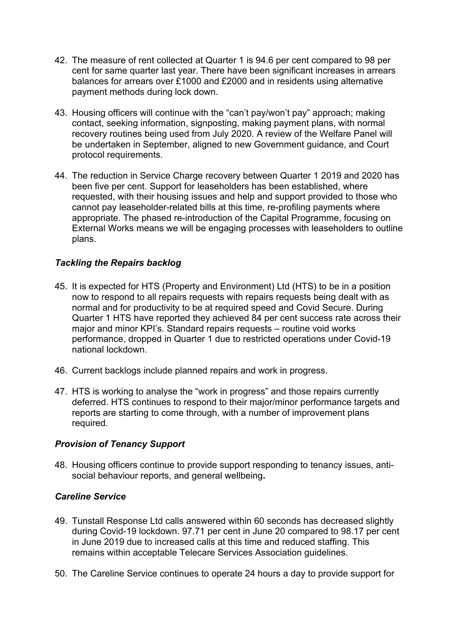- 42. The measure of rent collected at Quarter 1 is 94.6 per cent compared to 98 per cent for same quarter last year. There have been significant increases in arrears balances for arrears over £1000 and £2000 and in residents using alternative payment methods during lock down.
- 43. Housing officers will continue with the "can't pay/won't pay" approach; making contact, seeking information, signposting, making payment plans, with normal recovery routines being used from July 2020. A review of the Welfare Panel will be undertaken in September, aligned to new Government guidance, and Court protocol requirements.
- 44. The reduction in Service Charge recovery between Quarter 1 2019 and 2020 has been five per cent. Support for leaseholders has been established, where requested, with their housing issues and help and support provided to those who cannot pay leaseholder-related bills at this time, re-profiling payments where appropriate. The phased re-introduction of the Capital Programme, focusing on External Works means we will be engaging processes with leaseholders to outline plans.

# *Tackling the Repairs backlog*

- 45. It is expected for HTS (Property and Environment) Ltd (HTS) to be in a position now to respond to all repairs requests with repairs requests being dealt with as normal and for productivity to be at required speed and Covid Secure. During Quarter 1 HTS have reported they achieved 84 per cent success rate across their major and minor KPI's. Standard repairs requests – routine void works performance, dropped in Quarter 1 due to restricted operations under Covid-19 national lockdown.
- 46. Current backlogs include planned repairs and work in progress.
- 47. HTS is working to analyse the "work in progress" and those repairs currently deferred. HTS continues to respond to their major/minor performance targets and reports are starting to come through, with a number of improvement plans required.

#### *Provision of Tenancy Support*

48. Housing officers continue to provide support responding to tenancy issues, antisocial behaviour reports, and general wellbeing**.**

## *Careline Service*

- 49. Tunstall Response Ltd calls answered within 60 seconds has decreased slightly during Covid-19 lockdown. 97.71 per cent in June 20 compared to 98.17 per cent in June 2019 due to increased calls at this time and reduced staffing. This remains within acceptable Telecare Services Association guidelines.
- 50. The Careline Service continues to operate 24 hours a day to provide support for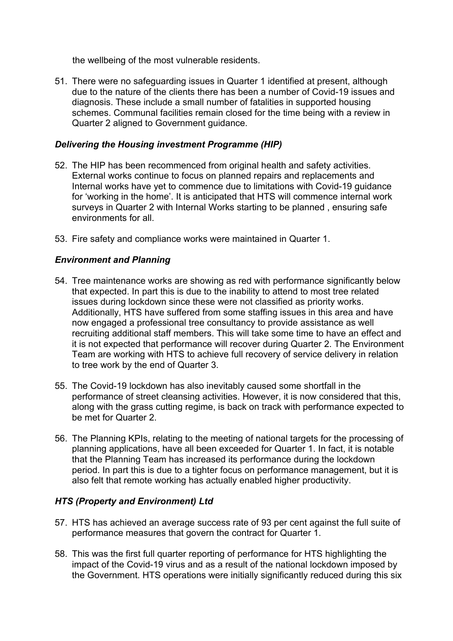the wellbeing of the most vulnerable residents.

51. There were no safeguarding issues in Quarter 1 identified at present, although due to the nature of the clients there has been a number of Covid-19 issues and diagnosis. These include a small number of fatalities in supported housing schemes. Communal facilities remain closed for the time being with a review in Quarter 2 aligned to Government guidance.

# *Delivering the Housing investment Programme (HIP)*

- 52. The HIP has been recommenced from original health and safety activities. External works continue to focus on planned repairs and replacements and Internal works have yet to commence due to limitations with Covid-19 guidance for 'working in the home'. It is anticipated that HTS will commence internal work surveys in Quarter 2 with Internal Works starting to be planned , ensuring safe environments for all.
- 53. Fire safety and compliance works were maintained in Quarter 1.

# *Environment and Planning*

- 54. Tree maintenance works are showing as red with performance significantly below that expected. In part this is due to the inability to attend to most tree related issues during lockdown since these were not classified as priority works. Additionally, HTS have suffered from some staffing issues in this area and have now engaged a professional tree consultancy to provide assistance as well recruiting additional staff members. This will take some time to have an effect and it is not expected that performance will recover during Quarter 2. The Environment Team are working with HTS to achieve full recovery of service delivery in relation to tree work by the end of Quarter 3.
- 55. The Covid-19 lockdown has also inevitably caused some shortfall in the performance of street cleansing activities. However, it is now considered that this, along with the grass cutting regime, is back on track with performance expected to be met for Quarter 2.
- 56. The Planning KPIs, relating to the meeting of national targets for the processing of planning applications, have all been exceeded for Quarter 1. In fact, it is notable that the Planning Team has increased its performance during the lockdown period. In part this is due to a tighter focus on performance management, but it is also felt that remote working has actually enabled higher productivity.

# *HTS (Property and Environment) Ltd*

- 57. HTS has achieved an average success rate of 93 per cent against the full suite of performance measures that govern the contract for Quarter 1.
- 58. This was the first full quarter reporting of performance for HTS highlighting the impact of the Covid-19 virus and as a result of the national lockdown imposed by the Government. HTS operations were initially significantly reduced during this six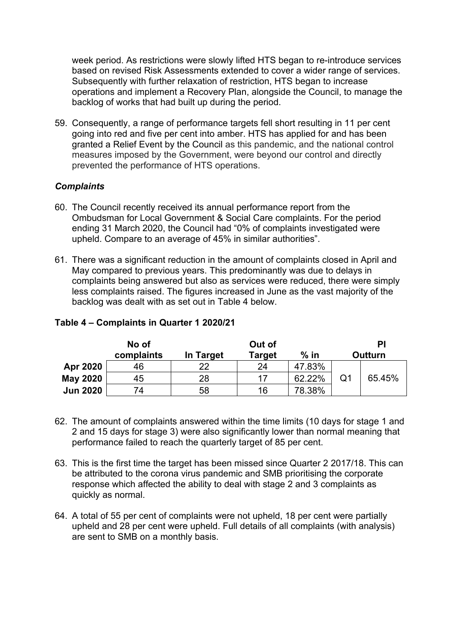week period. As restrictions were slowly lifted HTS began to re-introduce services based on revised Risk Assessments extended to cover a wider range of services. Subsequently with further relaxation of restriction, HTS began to increase operations and implement a Recovery Plan, alongside the Council, to manage the backlog of works that had built up during the period.

59. Consequently, a range of performance targets fell short resulting in 11 per cent going into red and five per cent into amber. HTS has applied for and has been granted a Relief Event by the Council as this pandemic, and the national control measures imposed by the Government, were beyond our control and directly prevented the performance of HTS operations.

## *Complaints*

- 60. The Council recently received its annual performance report from the Ombudsman for Local Government & Social Care complaints. For the period ending 31 March 2020, the Council had "0% of complaints investigated were upheld. Compare to an average of 45% in similar authorities".
- 61. There was a significant reduction in the amount of complaints closed in April and May compared to previous years. This predominantly was due to delays in complaints being answered but also as services were reduced, there were simply less complaints raised. The figures increased in June as the vast majority of the backlog was dealt with as set out in Table 4 below.

|                 | No of      |           | Out of        |        |    |         |
|-----------------|------------|-----------|---------------|--------|----|---------|
|                 | complaints | In Target | <b>Target</b> | $%$ in |    | Outturn |
| Apr 2020        | 46         | つつ        | 24            | 47.83% |    |         |
| <b>May 2020</b> | 45         | 28        | 17            | 62.22% | Q1 | 65.45%  |
| <b>Jun 2020</b> | 74         | 58        | 16            | 78.38% |    |         |

#### **Table 4 – Complaints in Quarter 1 2020/21**

- 62. The amount of complaints answered within the time limits (10 days for stage 1 and 2 and 15 days for stage 3) were also significantly lower than normal meaning that performance failed to reach the quarterly target of 85 per cent.
- 63. This is the first time the target has been missed since Quarter 2 2017/18. This can be attributed to the corona virus pandemic and SMB prioritising the corporate response which affected the ability to deal with stage 2 and 3 complaints as quickly as normal.
- 64. A total of 55 per cent of complaints were not upheld, 18 per cent were partially upheld and 28 per cent were upheld. Full details of all complaints (with analysis) are sent to SMB on a monthly basis.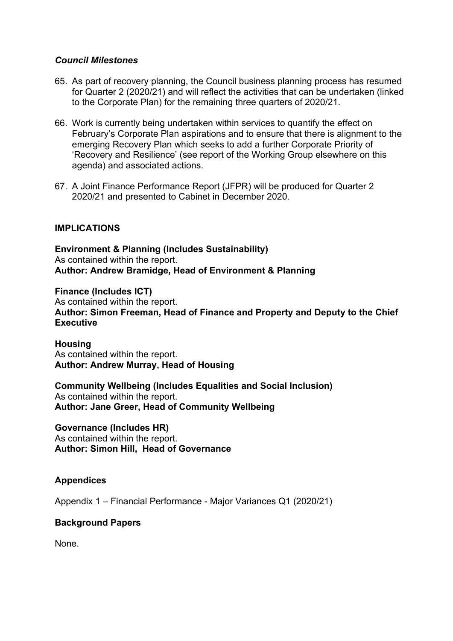#### *Council Milestones*

- 65. As part of recovery planning, the Council business planning process has resumed for Quarter 2 (2020/21) and will reflect the activities that can be undertaken (linked to the Corporate Plan) for the remaining three quarters of 2020/21.
- 66. Work is currently being undertaken within services to quantify the effect on February's Corporate Plan aspirations and to ensure that there is alignment to the emerging Recovery Plan which seeks to add a further Corporate Priority of 'Recovery and Resilience' (see report of the Working Group elsewhere on this agenda) and associated actions.
- 67. A Joint Finance Performance Report (JFPR) will be produced for Quarter 2 2020/21 and presented to Cabinet in December 2020.

#### **IMPLICATIONS**

**Environment & Planning (Includes Sustainability)** As contained within the report. **Author: Andrew Bramidge, Head of Environment & Planning**

**Finance (Includes ICT)** As contained within the report. **Author: Simon Freeman, Head of Finance and Property and Deputy to the Chief Executive**

**Housing** As contained within the report. **Author: Andrew Murray, Head of Housing**

**Community Wellbeing (Includes Equalities and Social Inclusion)** As contained within the report. **Author: Jane Greer, Head of Community Wellbeing**

**Governance (Includes HR)** As contained within the report. **Author: Simon Hill, Head of Governance**

#### **Appendices**

Appendix 1 – Financial Performance - Major Variances Q1 (2020/21)

#### **Background Papers**

None.